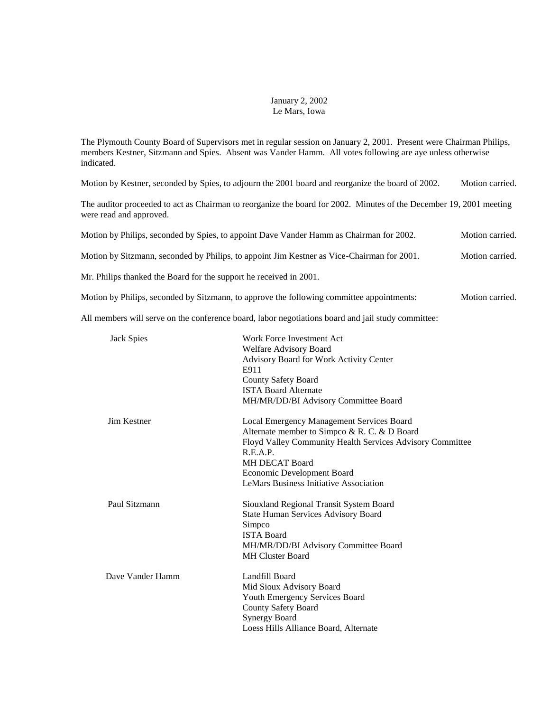## January 2, 2002 Le Mars, Iowa

The Plymouth County Board of Supervisors met in regular session on January 2, 2001. Present were Chairman Philips, members Kestner, Sitzmann and Spies. Absent was Vander Hamm. All votes following are aye unless otherwise indicated.

Motion by Kestner, seconded by Spies, to adjourn the 2001 board and reorganize the board of 2002. Motion carried.

The auditor proceeded to act as Chairman to reorganize the board for 2002. Minutes of the December 19, 2001 meeting were read and approved.

| Motion by Philips, seconded by Spies, to appoint Dave Vander Hamm as Chairman for 2002.    | Motion carried. |
|--------------------------------------------------------------------------------------------|-----------------|
| Motion by Sitzmann, seconded by Philips, to appoint Jim Kestner as Vice-Chairman for 2001. | Motion carried. |

Mr. Philips thanked the Board for the support he received in 2001.

Motion by Philips, seconded by Sitzmann, to approve the following committee appointments: Motion carried.

All members will serve on the conference board, labor negotiations board and jail study committee:

| <b>Jack Spies</b> | Work Force Investment Act<br>Welfare Advisory Board<br><b>Advisory Board for Work Activity Center</b><br>E911 |
|-------------------|---------------------------------------------------------------------------------------------------------------|
|                   | <b>County Safety Board</b>                                                                                    |
|                   | <b>ISTA Board Alternate</b>                                                                                   |
|                   | MH/MR/DD/BI Advisory Committee Board                                                                          |
| Jim Kestner       | Local Emergency Management Services Board                                                                     |
|                   | Alternate member to Simpco & R. C. & D Board                                                                  |
|                   | Floyd Valley Community Health Services Advisory Committee                                                     |
|                   | R.E.A.P.                                                                                                      |
|                   | <b>MH DECAT Board</b>                                                                                         |
|                   | Economic Development Board                                                                                    |
|                   | <b>LeMars Business Initiative Association</b>                                                                 |
| Paul Sitzmann     | Siouxland Regional Transit System Board                                                                       |
|                   | <b>State Human Services Advisory Board</b>                                                                    |
|                   | Simpco                                                                                                        |
|                   | <b>ISTA Board</b>                                                                                             |
|                   | MH/MR/DD/BI Advisory Committee Board                                                                          |
|                   | <b>MH Cluster Board</b>                                                                                       |
| Dave Vander Hamm  | Landfill Board                                                                                                |
|                   | Mid Sioux Advisory Board                                                                                      |
|                   | Youth Emergency Services Board                                                                                |
|                   | <b>County Safety Board</b>                                                                                    |
|                   | <b>Synergy Board</b>                                                                                          |
|                   | Loess Hills Alliance Board, Alternate                                                                         |
|                   |                                                                                                               |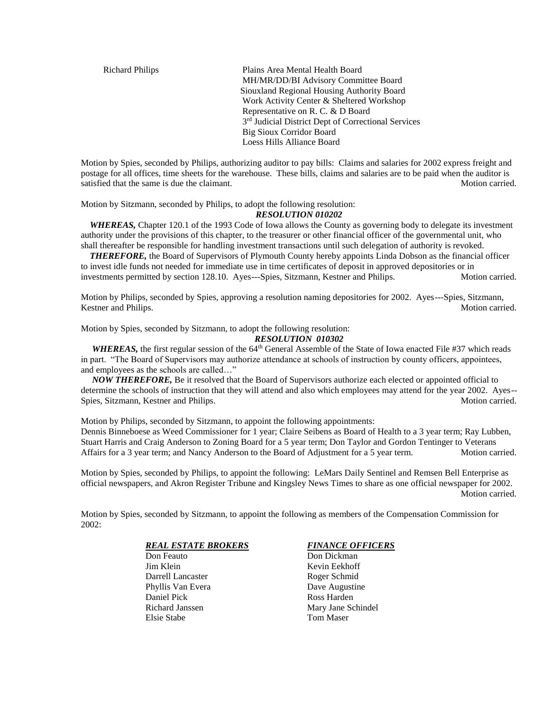Richard Philips Plains Area Mental Health Board MH/MR/DD/BI Advisory Committee Board Siouxland Regional Housing Authority Board Work Activity Center & Sheltered Workshop Representative on R. C. & D Board 3<sup>rd</sup> Judicial District Dept of Correctional Services Big Sioux Corridor Board Loess Hills Alliance Board

Motion by Spies, seconded by Philips, authorizing auditor to pay bills: Claims and salaries for 2002 express freight and postage for all offices, time sheets for the warehouse. These bills, claims and salaries are to be paid when the auditor is satisfied that the same is due the claimant. Motion carried. Motion carried.

Motion by Sitzmann, seconded by Philips, to adopt the following resolution:

#### *RESOLUTION 010202*

*WHEREAS,* Chapter 120.1 of the 1993 Code of Iowa allows the County as governing body to delegate its investment authority under the provisions of this chapter, to the treasurer or other financial officer of the governmental unit, who shall thereafter be responsible for handling investment transactions until such delegation of authority is revoked.

 *THEREFORE,* the Board of Supervisors of Plymouth County hereby appoints Linda Dobson as the financial officer to invest idle funds not needed for immediate use in time certificates of deposit in approved depositories or in investments permitted by section 128.10. Ayes---Spies, Sitzmann, Kestner and Philips. Motion carried.

Motion by Philips, seconded by Spies, approving a resolution naming depositories for 2002. Ayes---Spies, Sitzmann, Kestner and Philips. Motion carried.

Motion by Spies, seconded by Sitzmann, to adopt the following resolution:

#### *RESOLUTION 010302*

*WHEREAS*, the first regular session of the 64<sup>th</sup> General Assemble of the State of Iowa enacted File #37 which reads in part. "The Board of Supervisors may authorize attendance at schools of instruction by county officers, appointees, and employees as the schools are called…"

 *NOW THEREFORE,* Be it resolved that the Board of Supervisors authorize each elected or appointed official to determine the schools of instruction that they will attend and also which employees may attend for the year 2002. Ayes-- Spies, Sitzmann, Kestner and Philips. (2003) 2003 12:30 Motion carried.

Motion by Philips, seconded by Sitzmann, to appoint the following appointments:

Dennis Binneboese as Weed Commissioner for 1 year; Claire Seibens as Board of Health to a 3 year term; Ray Lubben, Stuart Harris and Craig Anderson to Zoning Board for a 5 year term; Don Taylor and Gordon Tentinger to Veterans Affairs for a 3 year term; and Nancy Anderson to the Board of Adjustment for a 5 year term. Motion carried.

Motion by Spies, seconded by Philips, to appoint the following: LeMars Daily Sentinel and Remsen Bell Enterprise as official newspapers, and Akron Register Tribune and Kingsley News Times to share as one official newspaper for 2002. Motion carried.

Motion by Spies, seconded by Sitzmann, to appoint the following as members of the Compensation Commission for 2002:

# *REAL ESTATE BROKERS FINANCE OFFICERS*

Don Feauto Don Dickman Jim Klein Kevin Eekhoff Darrell Lancaster Roger Schmid Phyllis Van Evera Dave Augustine Daniel Pick Ross Harden Richard Janssen Mary Jane Schindel Elsie Stabe Tom Maser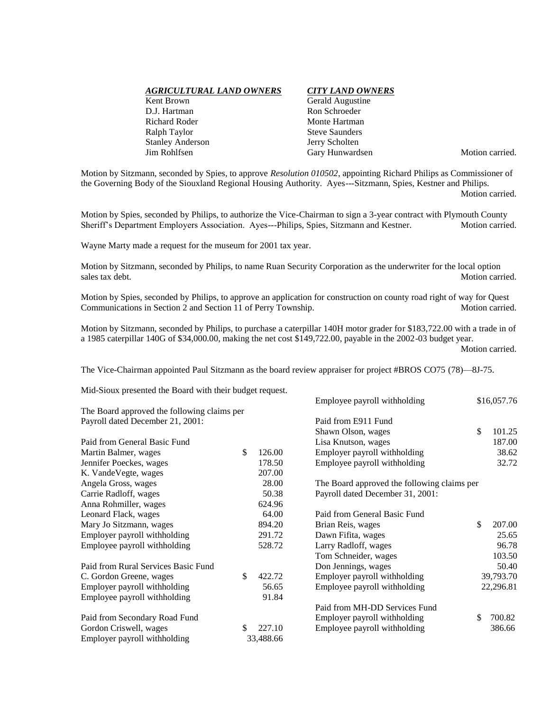| AGRICULTURAL LAND OWNERS |
|--------------------------|
| Kent Brown               |
| D.J. Hartman             |
| Richard Roder            |
| Ralph Taylor             |
| <b>Stanley Anderson</b>  |
| Jim Rohlfsen             |

## *AGRICULTURAL LAND OWNERS CITY LAND OWNERS*

Gerald Augustine Ron Schroeder Monte Hartman **Steve Saunders** Jerry Scholten Gary Hunwardsen Motion carried.

Motion by Sitzmann, seconded by Spies, to approve *Resolution 010502*, appointing Richard Philips as Commissioner of the Governing Body of the Siouxland Regional Housing Authority. Ayes---Sitzmann, Spies, Kestner and Philips.

Motion carried.

Motion by Spies, seconded by Philips, to authorize the Vice-Chairman to sign a 3-year contract with Plymouth County Sheriff's Department Employers Association. Ayes---Philips, Spies, Sitzmann and Kestner. Motion carried.

Wayne Marty made a request for the museum for 2001 tax year.

Motion by Sitzmann, seconded by Philips, to name Ruan Security Corporation as the underwriter for the local option Motion carried.

Motion by Spies, seconded by Philips, to approve an application for construction on county road right of way for Quest Communications in Section 2 and Section 11 of Perry Township. Motion carried.

Motion by Sitzmann, seconded by Philips, to purchase a caterpillar 140H motor grader for \$183,722.00 with a trade in of a 1985 caterpillar 140G of \$34,000.00, making the net cost \$149,722.00, payable in the 2002-03 budget year. Motion carried.

The Vice-Chairman appointed Paul Sitzmann as the board review appraiser for project #BROS CO75 (78)—8J-75.

Mid-Sioux presented the Board with their budget request.

|                                             |              | Employee payroll withholding                | \$16,057.76  |
|---------------------------------------------|--------------|---------------------------------------------|--------------|
| The Board approved the following claims per |              |                                             |              |
| Payroll dated December 21, 2001:            |              | Paid from E911 Fund                         |              |
|                                             |              | Shawn Olson, wages                          | \$<br>101.25 |
| Paid from General Basic Fund                |              | Lisa Knutson, wages                         | 187.00       |
| Martin Balmer, wages                        | \$<br>126.00 | Employer payroll withholding                | 38.62        |
| Jennifer Poeckes, wages                     | 178.50       | Employee payroll withholding                | 32.72        |
| K. VandeVegte, wages                        | 207.00       |                                             |              |
| Angela Gross, wages                         | 28.00        | The Board approved the following claims per |              |
| Carrie Radloff, wages                       | 50.38        | Payroll dated December 31, 2001:            |              |
| Anna Rohmiller, wages                       | 624.96       |                                             |              |
| Leonard Flack, wages                        | 64.00        | Paid from General Basic Fund                |              |
| Mary Jo Sitzmann, wages                     | 894.20       | Brian Reis, wages                           | \$<br>207.00 |
| Employer payroll withholding                | 291.72       | Dawn Fifita, wages                          | 25.65        |
| Employee payroll withholding                | 528.72       | Larry Radloff, wages                        | 96.78        |
|                                             |              | Tom Schneider, wages                        | 103.50       |
| Paid from Rural Services Basic Fund         |              | Don Jennings, wages                         | 50.40        |
| C. Gordon Greene, wages                     | \$<br>422.72 | Employer payroll withholding                | 39,793.70    |
| Employer payroll withholding                | 56.65        | Employee payroll withholding                | 22,296.81    |
| Employee payroll withholding                | 91.84        |                                             |              |
|                                             |              | Paid from MH-DD Services Fund               |              |
| Paid from Secondary Road Fund               |              | Employer payroll withholding                | \$<br>700.82 |
| Gordon Criswell, wages                      | \$<br>227.10 | Employee payroll withholding                | 386.66       |
| Employer payroll withholding                | 33,488.66    |                                             |              |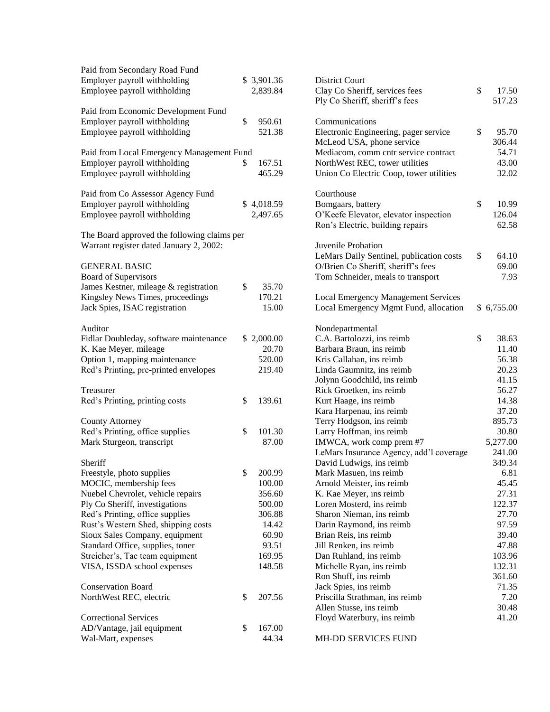| Paid from Secondary Road Fund<br>Employer payroll withholding<br>Employee payroll withholding             |    | \$ 3,901.36<br>2,839.84 |
|-----------------------------------------------------------------------------------------------------------|----|-------------------------|
| Paid from Economic Development Fund<br>Employer payroll withholding<br>Employee payroll withholding       | \$ | 950.61<br>521.38        |
| Paid from Local Emergency Management Fund<br>Employer payroll withholding<br>Employee payroll withholding | S  | 167.51<br>465.29        |
| Paid from Co Assessor Agency Fund<br>Employer payroll withholding<br>Employee payroll withholding         |    | \$4,018.59<br>2,497.65  |
| The Board approved the following claims per<br>Warrant register dated January 2, 2002:                    |    |                         |
| <b>GENERAL BASIC</b><br><b>Board of Supervisors</b>                                                       |    |                         |
| James Kestner, mileage & registration                                                                     | \$ | 35.70                   |
| Kingsley News Times, proceedings                                                                          |    | 170.21                  |
| Jack Spies, ISAC registration                                                                             |    | 15.00                   |
| Auditor                                                                                                   |    |                         |
| Fidlar Doubleday, software maintenance                                                                    |    | \$2,000.00              |
| K. Kae Meyer, mileage                                                                                     |    | 20.70                   |
| Option 1, mapping maintenance                                                                             |    | 520.00                  |
| Red's Printing, pre-printed envelopes                                                                     |    | 219.40                  |
| Treasurer                                                                                                 |    |                         |
| Red's Printing, printing costs                                                                            | \$ | 139.61                  |
| <b>County Attorney</b>                                                                                    |    |                         |
| Red's Printing, office supplies                                                                           | \$ | 101.30                  |
| Mark Sturgeon, transcript                                                                                 |    | 87.00                   |
| Sheriff                                                                                                   |    |                         |
| Freestyle, photo supplies                                                                                 | \$ | 200.99                  |
| MOCIC, membership fees                                                                                    |    | 100.00                  |
| Nuebel Chevrolet, vehicle repairs                                                                         |    | 356.60                  |
| Ply Co Sheriff, investigations                                                                            |    | 500.00                  |
| Red's Printing, office supplies                                                                           |    | 306.88                  |
| Rust's Western Shed, shipping costs                                                                       |    | 14.42                   |
| Sioux Sales Company, equipment                                                                            |    | 60.90                   |
| Standard Office, supplies, toner                                                                          |    | 93.51                   |
| Streicher's, Tac team equipment                                                                           |    | 169.95                  |
| VISA, ISSDA school expenses                                                                               |    | 148.58                  |
| <b>Conservation Board</b>                                                                                 |    |                         |
| NorthWest REC, electric                                                                                   | \$ | 207.56                  |
| <b>Correctional Services</b>                                                                              |    |                         |
| AD/Vantage, jail equipment                                                                                | \$ | 167.00                  |
| Wal-Mart, expenses                                                                                        |    | 44.34                   |

| <b>District Court</b><br>Clay Co Sheriff, services fees                   | \$<br>17.50    |
|---------------------------------------------------------------------------|----------------|
| Ply Co Sheriff, sheriff's fees                                            | 517.23         |
| Communications                                                            | \$             |
| Electronic Engineering, pager service                                     | 95.70          |
| McLeod USA, phone service                                                 | 306.44         |
| Mediacom, comm cntr service contract                                      | 54.71          |
| NorthWest REC, tower utilities<br>Union Co Electric Coop, tower utilities | 43.00<br>32.02 |
| Courthouse                                                                |                |
| Bomgaars, battery                                                         | \$<br>10.99    |
| O'Keefe Elevator, elevator inspection                                     | 126.04         |
| Ron's Electric, building repairs                                          | 62.58          |
| Juvenile Probation                                                        |                |
| LeMars Daily Sentinel, publication costs                                  | \$<br>64.10    |
| O/Brien Co Sheriff, sheriff's fees                                        | 69.00          |
| Tom Schneider, meals to transport                                         | 7.93           |
|                                                                           |                |
| <b>Local Emergency Management Services</b>                                |                |
| Local Emergency Mgmt Fund, allocation                                     | \$6,755.00     |
| Nondepartmental                                                           |                |
| C.A. Bartolozzi, ins reimb                                                | \$<br>38.63    |
| Barbara Braun, ins reimb                                                  | 11.40          |
| Kris Callahan, ins reimb                                                  | 56.38          |
| Linda Gaumnitz, ins reimb                                                 | 20.23          |
| Jolynn Goodchild, ins reimb                                               | 41.15          |
| Rick Groetken, ins reimb                                                  | 56.27          |
| Kurt Haage, ins reimb                                                     | 14.38          |
| Kara Harpenau, ins reimb                                                  | 37.20          |
| Terry Hodgson, ins reimb                                                  | 895.73         |
| Larry Hoffman, ins reimb                                                  | 30.80          |
| IMWCA, work comp prem #7                                                  | 5,277.00       |
| LeMars Insurance Agency, add'l coverage                                   | 241.00         |
| David Ludwigs, ins reimb                                                  | 349.34         |
| Mark Masuen, ins reimb                                                    | 6.81           |
| Arnold Meister, ins reimb                                                 | 45.45          |
| K. Kae Meyer, ins reimb                                                   | 27.31          |
| Loren Mosterd, ins reimb                                                  | 122.37         |
| Sharon Nieman, ins reimb                                                  | 27.70          |
| Darin Raymond, ins reimb                                                  | 97.59          |
| Brian Reis, ins reimb                                                     | 39.40          |
| Jill Renken, ins reimb                                                    | 47.88          |
| Dan Ruhland, ins reimb                                                    | 103.96         |
| Michelle Ryan, ins reimb                                                  | 132.31         |
| Ron Shuff, ins reimb                                                      | 361.60         |
| Jack Spies, ins reimb                                                     | 71.35          |
| Priscilla Strathman, ins reimb                                            | 7.20           |
| Allen Stusse, ins reimb                                                   | 30.48          |
| Floyd Waterbury, ins reimb                                                | 41.20          |
| MH-DD SERVICES FUND                                                       |                |